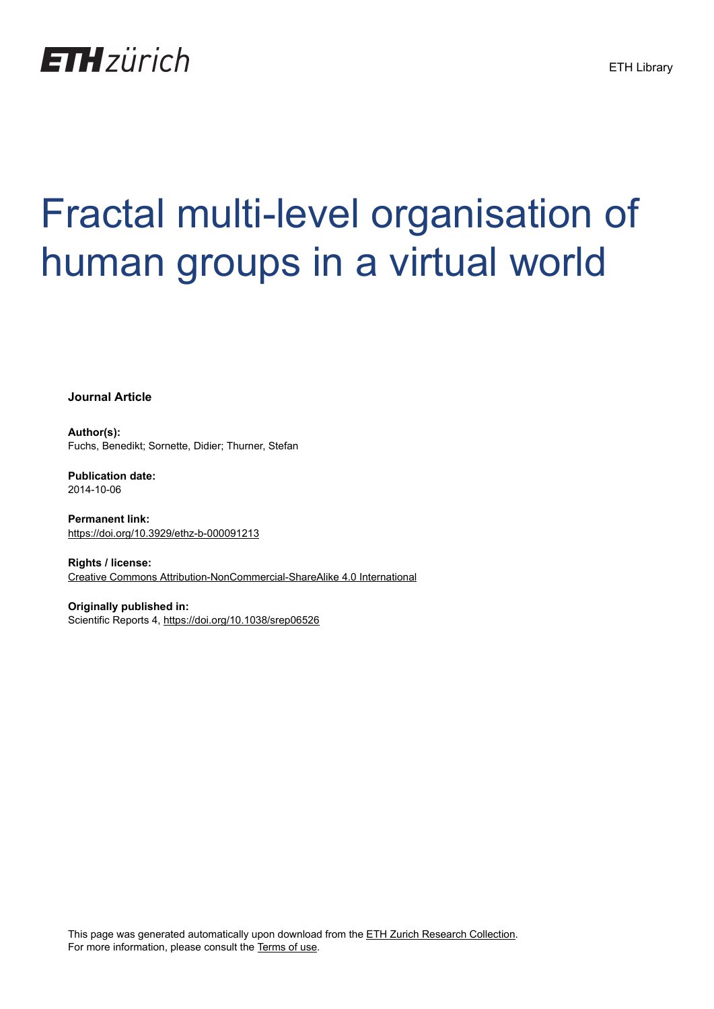

# Fractal multi-level organisation of human groups in a virtual world

**Journal Article**

**Author(s):** Fuchs, Benedikt; Sornette, Didier; Thurner, Stefan

**Publication date:** 2014-10-06

**Permanent link:** <https://doi.org/10.3929/ethz-b-000091213>

**Rights / license:** [Creative Commons Attribution-NonCommercial-ShareAlike 4.0 International](http://creativecommons.org/licenses/by-nc-sa/4.0/)

**Originally published in:** Scientific Reports 4,<https://doi.org/10.1038/srep06526>

This page was generated automatically upon download from the [ETH Zurich Research Collection.](https://www.research-collection.ethz.ch) For more information, please consult the [Terms of use](https://www.research-collection.ethz.ch/terms-of-use).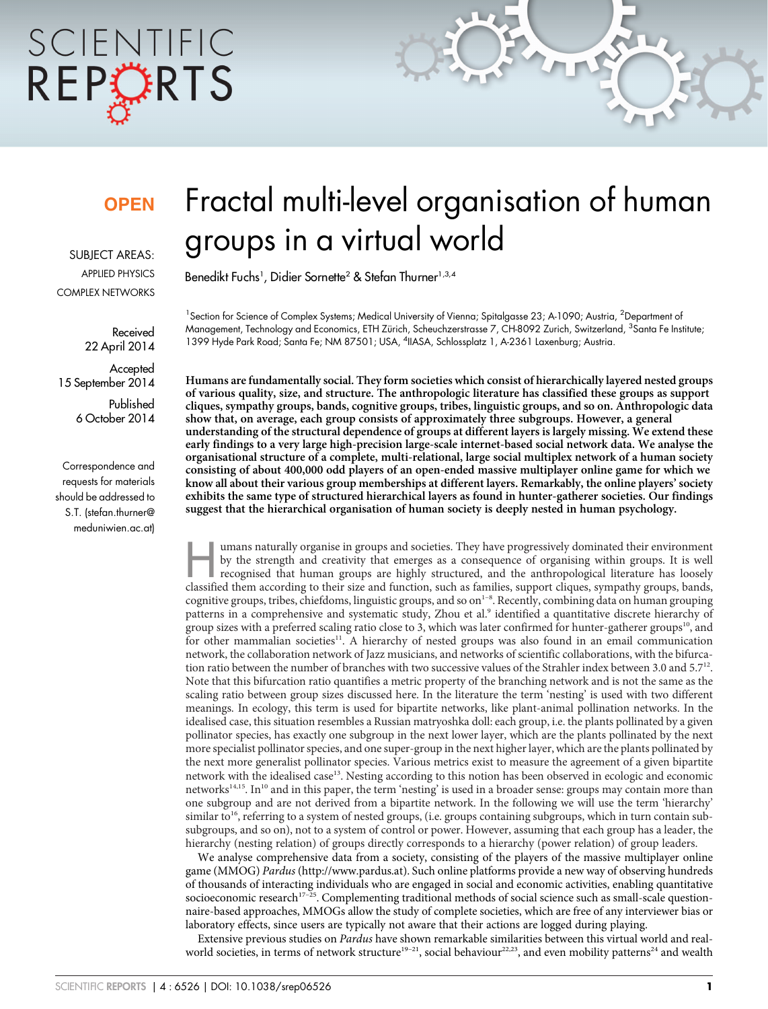## SCIENTIFIC REPORTS

### **OPEN**

SUBJECT AREAS: APPLIED PHYSICS COMPLEX NETWORKS

> Received 22 April 2014

**Accepted** 15 September 2014

> Published 6 October 2014

Correspondence and requests for materials should be addressed to S.T. (stefan.thurner@ meduniwien.ac.at)

### Fractal multi-level organisation of human groups in a virtual world

Benedikt Fuchs<sup>1</sup>, Didier Sornette<sup>2</sup> & Stefan Thurner<sup>1,3,4</sup>

<sup>1</sup>Section for Science of Complex Systems; Medical University of Vienna; Spitalgasse 23; A-1090; Austria, <sup>2</sup>Department ol Management, Technology and Economics, ETH Zürich, Scheuchzerstrasse 7, CH-8092 Zurich, Switzerland, <sup>3</sup>Santa Fe Institute; 1399 Hyde Park Road; Santa Fe; NM 87501; USA, <sup>4</sup>IIASA, Schlossplatz 1, A-2361 Laxenburg; Austria.

Humans are fundamentally social. They form societies which consist of hierarchically layered nested groups of various quality, size, and structure. The anthropologic literature has classified these groups as support cliques, sympathy groups, bands, cognitive groups, tribes, linguistic groups, and so on. Anthropologic data show that, on average, each group consists of approximately three subgroups. However, a general understanding of the structural dependence of groups at different layers is largely missing. We extend these early findings to a very large high-precision large-scale internet-based social network data. We analyse the organisational structure of a complete, multi-relational, large social multiplex network of a human society consisting of about 400,000 odd players of an open-ended massive multiplayer online game for which we know all about their various group memberships at different layers. Remarkably, the online players' society exhibits the same type of structured hierarchical layers as found in hunter-gatherer societies. Our findings suggest that the hierarchical organisation of human society is deeply nested in human psychology.

umans naturally organise in groups and societies. They have progressively dominated their environment<br>by the strength and creativity that emerges as a consequence of organising within groups. It is well<br>recognised that hum by the strength and creativity that emerges as a consequence of organising within groups. It is well recognised that human groups are highly structured, and the anthropological literature has loosely classified them according to their size and function, such as families, support cliques, sympathy groups, bands, cognitive groups, tribes, chiefdoms, linguistic groups, and so on<sup>1-8</sup>. Recently, combining data on human grouping patterns in a comprehensive and systematic study, Zhou et al.9 identified a quantitative discrete hierarchy of group sizes with a preferred scaling ratio close to 3, which was later confirmed for hunter-gatherer groups<sup>10</sup>, and for other mammalian societies<sup>11</sup>. A hierarchy of nested groups was also found in an email communication network, the collaboration network of Jazz musicians, and networks of scientific collaborations, with the bifurcation ratio between the number of branches with two successive values of the Strahler index between 3.0 and 5.7<sup>12</sup>. Note that this bifurcation ratio quantifies a metric property of the branching network and is not the same as the scaling ratio between group sizes discussed here. In the literature the term 'nesting' is used with two different meanings. In ecology, this term is used for bipartite networks, like plant-animal pollination networks. In the idealised case, this situation resembles a Russian matryoshka doll: each group, i.e. the plants pollinated by a given pollinator species, has exactly one subgroup in the next lower layer, which are the plants pollinated by the next more specialist pollinator species, and one super-group in the next higher layer, which are the plants pollinated by the next more generalist pollinator species. Various metrics exist to measure the agreement of a given bipartite network with the idealised case<sup>13</sup>. Nesting according to this notion has been observed in ecologic and economic networks<sup>14,15</sup>. In<sup>10</sup> and in this paper, the term 'nesting' is used in a broader sense: groups may contain more than one subgroup and are not derived from a bipartite network. In the following we will use the term 'hierarchy' similar to<sup>16</sup>, referring to a system of nested groups, (i.e. groups containing subgroups, which in turn contain subsubgroups, and so on), not to a system of control or power. However, assuming that each group has a leader, the hierarchy (nesting relation) of groups directly corresponds to a hierarchy (power relation) of group leaders.

We analyse comprehensive data from a society, consisting of the players of the massive multiplayer online game (MMOG) Pardus [\(http://www.pardus.at\)](http://www.pardus.at). Such online platforms provide a new way of observing hundreds of thousands of interacting individuals who are engaged in social and economic activities, enabling quantitative socioeconomic research<sup>17-25</sup>. Complementing traditional methods of social science such as small-scale questionnaire-based approaches, MMOGs allow the study of complete societies, which are free of any interviewer bias or laboratory effects, since users are typically not aware that their actions are logged during playing.

Extensive previous studies on Pardus have shown remarkable similarities between this virtual world and realworld societies, in terms of network structure<sup>19–21</sup>, social behaviour<sup>22,23</sup>, and even mobility patterns<sup>24</sup> and wealth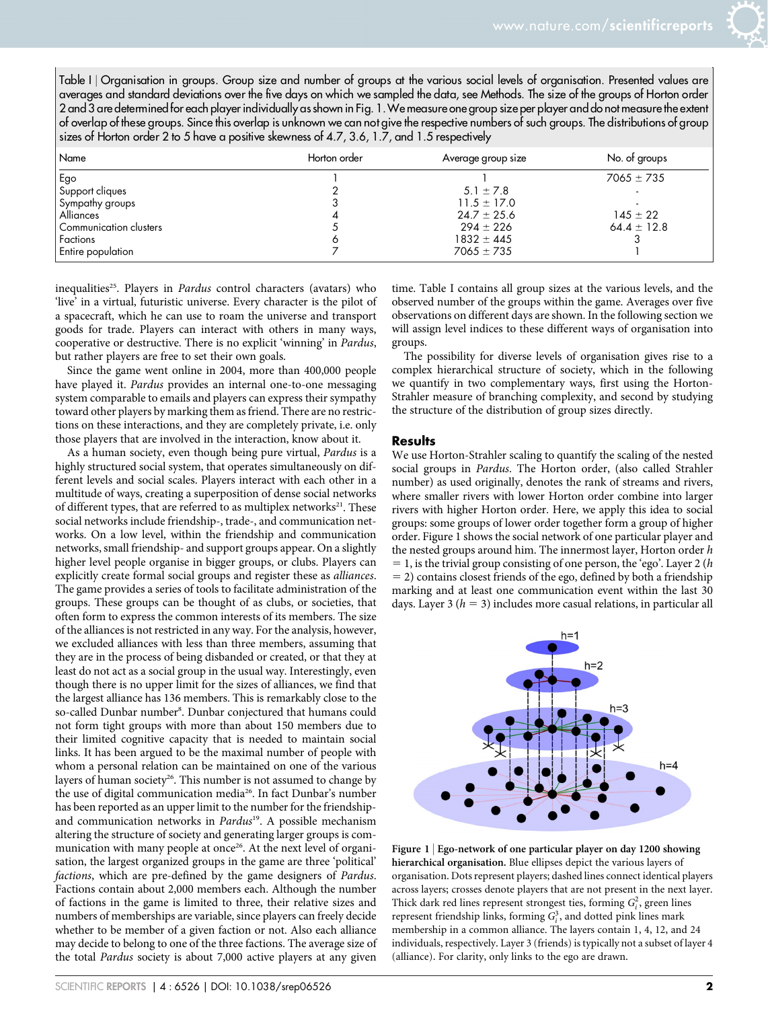Table I | Organisation in groups. Group size and number of groups at the various social levels of organisation. Presented values are averages and standard deviations over the five days on which we sampled the data, see Methods. The size of the groups of Horton order 2 and 3 are determined for each player individually as shown in Fig. 1.We measure one group size per player and do not measure the extent of overlap of these groups. Since this overlap is unknown we can not give the respective numbers of such groups. The distributions of group sizes of Horton order 2 to 5 have a positive skewness of 4.7, 3.6, 1.7, and 1.5 respectively

| Name                   | Horton order | Average group size | No. of groups   |
|------------------------|--------------|--------------------|-----------------|
| Ego                    |              |                    | $7065 \pm 735$  |
| Support cliques        |              | $5.1 \pm 7.8$      |                 |
| Sympathy groups        |              | $11.5 \pm 17.0$    |                 |
| Alliances              |              | $24.7 \pm 25.6$    | $145 \pm 22$    |
| Communication clusters |              | $294 \pm 226$      | $64.4 \pm 12.8$ |
| Factions               |              | $1832 \pm 445$     |                 |
| Entire population      |              | $7065 \pm 735$     |                 |

inequalities<sup>25</sup>. Players in *Pardus* control characters (avatars) who 'live' in a virtual, futuristic universe. Every character is the pilot of a spacecraft, which he can use to roam the universe and transport goods for trade. Players can interact with others in many ways, cooperative or destructive. There is no explicit 'winning' in Pardus, but rather players are free to set their own goals.

Since the game went online in 2004, more than 400,000 people have played it. Pardus provides an internal one-to-one messaging system comparable to emails and players can express their sympathy toward other players by marking them as friend. There are no restrictions on these interactions, and they are completely private, i.e. only those players that are involved in the interaction, know about it.

As a human society, even though being pure virtual, Pardus is a highly structured social system, that operates simultaneously on different levels and social scales. Players interact with each other in a multitude of ways, creating a superposition of dense social networks of different types, that are referred to as multiplex networks<sup>21</sup>. These social networks include friendship-, trade-, and communication networks. On a low level, within the friendship and communication networks, small friendship- and support groups appear. On a slightly higher level people organise in bigger groups, or clubs. Players can explicitly create formal social groups and register these as alliances. The game provides a series of tools to facilitate administration of the groups. These groups can be thought of as clubs, or societies, that often form to express the common interests of its members. The size of the alliances is not restricted in any way. For the analysis, however, we excluded alliances with less than three members, assuming that they are in the process of being disbanded or created, or that they at least do not act as a social group in the usual way. Interestingly, even though there is no upper limit for the sizes of alliances, we find that the largest alliance has 136 members. This is remarkably close to the so-called Dunbar number<sup>8</sup>. Dunbar conjectured that humans could not form tight groups with more than about 150 members due to their limited cognitive capacity that is needed to maintain social links. It has been argued to be the maximal number of people with whom a personal relation can be maintained on one of the various layers of human society<sup>26</sup>. This number is not assumed to change by the use of digital communication media<sup>26</sup>. In fact Dunbar's number has been reported as an upper limit to the number for the friendshipand communication networks in Pardus<sup>19</sup>. A possible mechanism altering the structure of society and generating larger groups is communication with many people at once<sup>26</sup>. At the next level of organisation, the largest organized groups in the game are three 'political' factions, which are pre-defined by the game designers of Pardus. Factions contain about 2,000 members each. Although the number of factions in the game is limited to three, their relative sizes and numbers of memberships are variable, since players can freely decide whether to be member of a given faction or not. Also each alliance may decide to belong to one of the three factions. The average size of the total Pardus society is about 7,000 active players at any given

observed number of the groups within the game. Averages over five observations on different days are shown. In the following section we will assign level indices to these different ways of organisation into groups. The possibility for diverse levels of organisation gives rise to a complex hierarchical structure of society, which in the following we quantify in two complementary ways, first using the Horton-Strahler measure of branching complexity, and second by studying the structure of the distribution of group sizes directly.

#### **Results**

We use Horton-Strahler scaling to quantify the scaling of the nested social groups in Pardus. The Horton order, (also called Strahler number) as used originally, denotes the rank of streams and rivers, where smaller rivers with lower Horton order combine into larger rivers with higher Horton order. Here, we apply this idea to social groups: some groups of lower order together form a group of higher order. Figure 1 shows the social network of one particular player and the nested groups around him. The innermost layer, Horton order h  $= 1$ , is the trivial group consisting of one person, the 'ego'. Layer 2 (h  $=$  2) contains closest friends of the ego, defined by both a friendship marking and at least one communication event within the last 30 days. Layer 3 ( $h = 3$ ) includes more casual relations, in particular all

time. Table I contains all group sizes at the various levels, and the



Figure 1 <sup>|</sup> Ego-network of one particular player on day 1200 showing hierarchical organisation. Blue ellipses depict the various layers of organisation. Dots represent players; dashed lines connect identical players across layers; crosses denote players that are not present in the next layer. Thick dark red lines represent strongest ties, forming  $G_i^2$ , green lines represent friendship links, forming  $G_i^3$ , and dotted pink lines mark membership in a common alliance. The layers contain 1, 4, 12, and 24 individuals, respectively. Layer 3 (friends) is typically not a subset of layer 4 (alliance). For clarity, only links to the ego are drawn.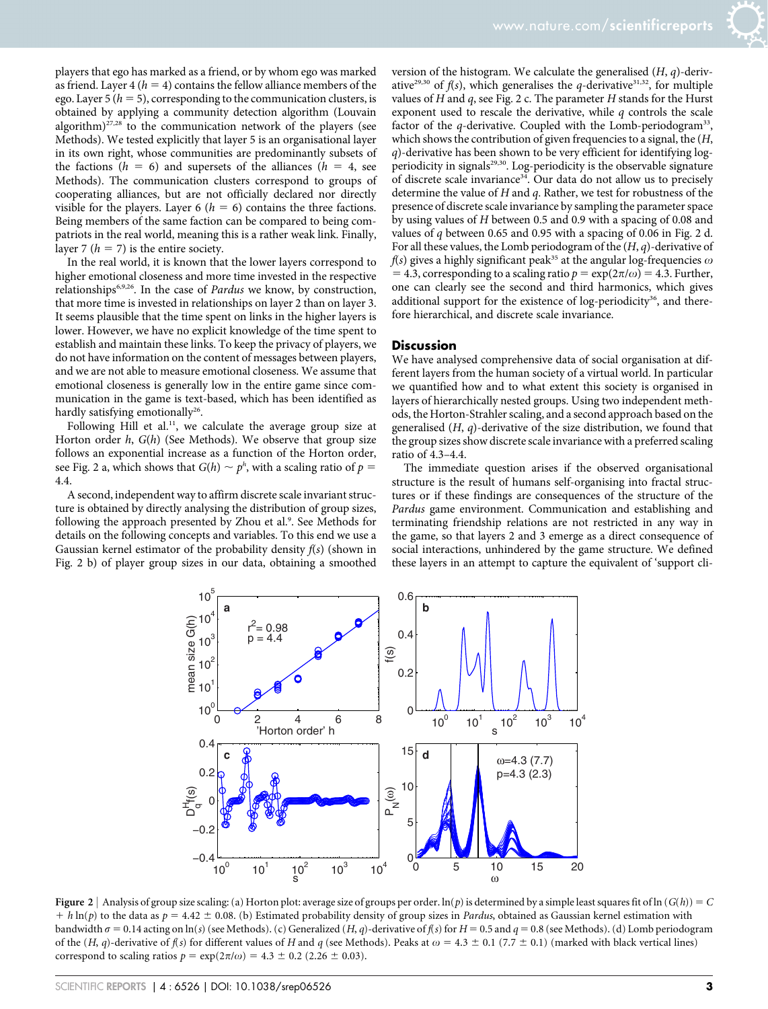players that ego has marked as a friend, or by whom ego was marked as friend. Layer 4 ( $h = 4$ ) contains the fellow alliance members of the ego. Layer 5 ( $h = 5$ ), corresponding to the communication clusters, is obtained by applying a community detection algorithm (Louvain algorithm) $27,28$  to the communication network of the players (see Methods). We tested explicitly that layer 5 is an organisational layer in its own right, whose communities are predominantly subsets of the factions ( $h = 6$ ) and supersets of the alliances ( $h = 4$ , see Methods). The communication clusters correspond to groups of cooperating alliances, but are not officially declared nor directly visible for the players. Layer 6 ( $h = 6$ ) contains the three factions. Being members of the same faction can be compared to being compatriots in the real world, meaning this is a rather weak link. Finally, layer 7 ( $h = 7$ ) is the entire society.

In the real world, it is known that the lower layers correspond to higher emotional closeness and more time invested in the respective relationships<sup>6,9,26</sup>. In the case of *Pardus* we know, by construction, that more time is invested in relationships on layer 2 than on layer 3. It seems plausible that the time spent on links in the higher layers is lower. However, we have no explicit knowledge of the time spent to establish and maintain these links. To keep the privacy of players, we do not have information on the content of messages between players, and we are not able to measure emotional closeness. We assume that emotional closeness is generally low in the entire game since communication in the game is text-based, which has been identified as hardly satisfying emotionally<sup>26</sup>.

Following Hill et al.<sup>11</sup>, we calculate the average group size at Horton order  $h$ ,  $G(h)$  (See Methods). We observe that group size follows an exponential increase as a function of the Horton order, see Fig. 2 a, which shows that  $G(h) \sim p^h$ , with a scaling ratio of  $p =$ 4.4.

A second, independent way to affirm discrete scale invariant structure is obtained by directly analysing the distribution of group sizes, following the approach presented by Zhou et al.<sup>9</sup>. See Methods for details on the following concepts and variables. To this end we use a Gaussian kernel estimator of the probability density  $f(s)$  (shown in Fig. 2 b) of player group sizes in our data, obtaining a smoothed

version of the histogram. We calculate the generalised  $(H, q)$ -derivative<sup>29,30</sup> of  $f(s)$ , which generalises the q-derivative<sup>31,32</sup>, for multiple values of  $H$  and  $q$ , see Fig. 2 c. The parameter  $H$  stands for the Hurst exponent used to rescale the derivative, while  $q$  controls the scale factor of the q-derivative. Coupled with the Lomb-periodogram<sup>33</sup>, which shows the contribution of given frequencies to a signal, the  $(H,$ q)-derivative has been shown to be very efficient for identifying logperiodicity in signals<sup>29,30</sup>. Log-periodicity is the observable signature of discrete scale invariance<sup>34</sup>. Our data do not allow us to precisely determine the value of  $H$  and  $q$ . Rather, we test for robustness of the presence of discrete scale invariance by sampling the parameter space by using values of H between 0.5 and 0.9 with a spacing of 0.08 and values of q between 0.65 and 0.95 with a spacing of 0.06 in Fig. 2 d. For all these values, the Lomb periodogram of the  $(H, q)$ -derivative of  $f(s)$  gives a highly significant peak<sup>35</sup> at the angular log-frequencies  $\omega$  $= 4.3$ , corresponding to a scaling ratio  $p = \exp(2\pi/\omega) = 4.3$ . Further, one can clearly see the second and third harmonics, which gives additional support for the existence of log-periodicity<sup>36</sup>, and therefore hierarchical, and discrete scale invariance.

#### **Discussion**

We have analysed comprehensive data of social organisation at different layers from the human society of a virtual world. In particular we quantified how and to what extent this society is organised in layers of hierarchically nested groups. Using two independent methods, the Horton-Strahler scaling, and a second approach based on the generalised  $(H, q)$ -derivative of the size distribution, we found that the group sizes show discrete scale invariance with a preferred scaling ratio of 4.3–4.4.

The immediate question arises if the observed organisational structure is the result of humans self-organising into fractal structures or if these findings are consequences of the structure of the Pardus game environment. Communication and establishing and terminating friendship relations are not restricted in any way in the game, so that layers 2 and 3 emerge as a direct consequence of social interactions, unhindered by the game structure. We defined these layers in an attempt to capture the equivalent of 'support cli-



Figure 2 | Analysis of group size scaling: (a) Horton plot: average size of groups per order.  $\ln(p)$  is determined by a simple least squares fit of  $\ln(G(h)) = C$  $h \ln(p)$  to the data as  $p = 4.42 \pm 0.08$ . (b) Estimated probability density of group sizes in Pardus, obtained as Gaussian kernel estimation with bandwidth  $\sigma = 0.14$  acting on ln(s) (see Methods). (c) Generalized (H, q)-derivative of  $f(s)$  for  $H = 0.5$  and  $q = 0.8$  (see Methods). (d) Lomb periodogram of the (H, q)-derivative of  $f(s)$  for different values of H and q (see Methods). Peaks at  $\omega = 4.3 \pm 0.1$  (7.7  $\pm$  0.1) (marked with black vertical lines) correspond to scaling ratios  $p = \exp(2\pi/\omega) = 4.3 \pm 0.2$  (2.26  $\pm$  0.03).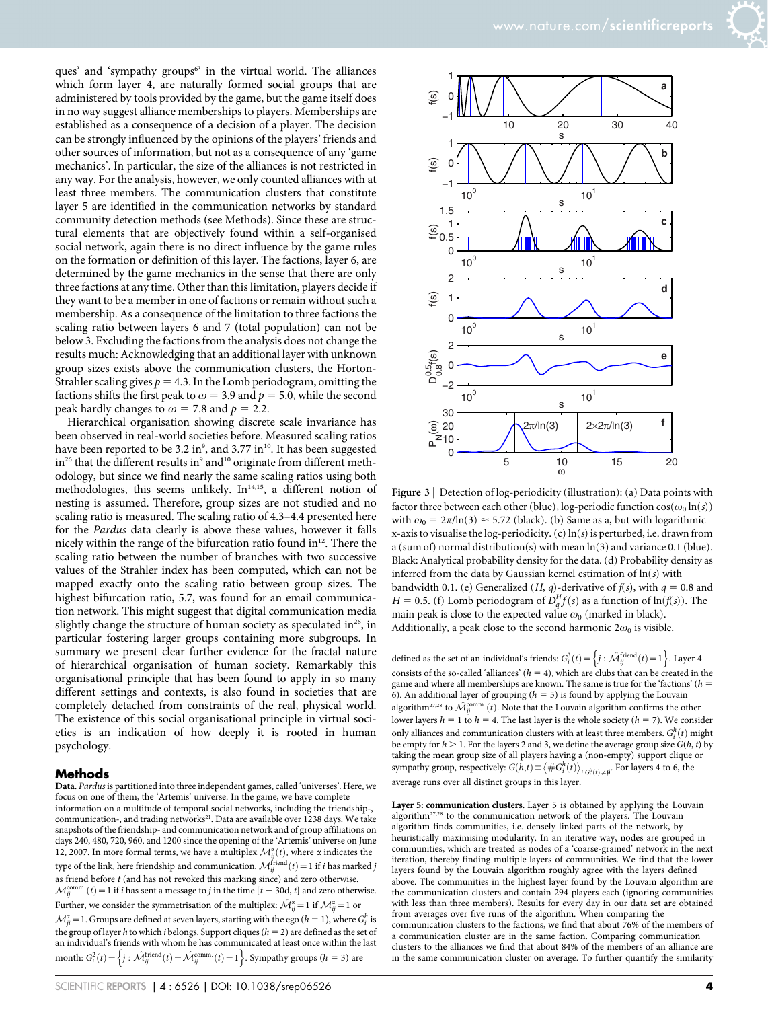ques' and 'sympathy groups<sup>6</sup>' in the virtual world. The alliances which form layer 4, are naturally formed social groups that are administered by tools provided by the game, but the game itself does in no way suggest alliance memberships to players. Memberships are established as a consequence of a decision of a player. The decision can be strongly influenced by the opinions of the players' friends and other sources of information, but not as a consequence of any 'game mechanics'. In particular, the size of the alliances is not restricted in any way. For the analysis, however, we only counted alliances with at least three members. The communication clusters that constitute layer 5 are identified in the communication networks by standard community detection methods (see Methods). Since these are structural elements that are objectively found within a self-organised social network, again there is no direct influence by the game rules on the formation or definition of this layer. The factions, layer 6, are determined by the game mechanics in the sense that there are only three factions at any time. Other than this limitation, players decide if they want to be a member in one of factions or remain without such a membership. As a consequence of the limitation to three factions the scaling ratio between layers 6 and 7 (total population) can not be below 3. Excluding the factions from the analysis does not change the results much: Acknowledging that an additional layer with unknown group sizes exists above the communication clusters, the Horton-Strahler scaling gives  $p = 4.3$ . In the Lomb periodogram, omitting the factions shifts the first peak to  $\omega$  = 3.9 and  $p$  = 5.0, while the second peak hardly changes to  $\omega$  = 7.8 and  $p$  = 2.2.

Hierarchical organisation showing discrete scale invariance has been observed in real-world societies before. Measured scaling ratios have been reported to be 3.2 in $^{\circ}$ , and 3.77 in $^{\rm 10}$ . It has been suggested in<sup>26</sup> that the different results in<sup>9</sup> and<sup>10</sup> originate from different methodology, but since we find nearly the same scaling ratios using both methodologies, this seems unlikely.  $In<sup>14,15</sup>$ , a different notion of nesting is assumed. Therefore, group sizes are not studied and no scaling ratio is measured. The scaling ratio of 4.3–4.4 presented here for the Pardus data clearly is above these values, however it falls nicely within the range of the bifurcation ratio found in<sup>12</sup>. There the scaling ratio between the number of branches with two successive values of the Strahler index has been computed, which can not be mapped exactly onto the scaling ratio between group sizes. The highest bifurcation ratio, 5.7, was found for an email communication network. This might suggest that digital communication media slightly change the structure of human society as speculated in<sup>26</sup>, in particular fostering larger groups containing more subgroups. In summary we present clear further evidence for the fractal nature of hierarchical organisation of human society. Remarkably this organisational principle that has been found to apply in so many different settings and contexts, is also found in societies that are completely detached from constraints of the real, physical world. The existence of this social organisational principle in virtual societies is an indication of how deeply it is rooted in human psychology.

#### Methods

Data. Pardus is partitioned into three independent games, called 'universes'. Here, we focus on one of them, the 'Artemis' universe. In the game, we have complete information on a multitude of temporal social networks, including the friendship-, communication-, and trading networks<sup>21</sup>. Data are available over 1238 days. We take snapshots of the friendship- and communication network and of group affiliations on days 240, 480, 720, 960, and 1200 since the opening of the 'Artemis' universe on June 12, 2007. In more formal terms, we have a multiplex  $\mathcal{M}_{ij}^{\alpha}(t)$ , where  $\alpha$  indicates the type of the link, here friendship and communication.  $\mathcal{M}^{\textrm{friend}}_{ij}(t)$   $=$  1 if  $i$  has marked  $j$ as friend before t (and has not revoked this marking since) and zero otherwise.  $\mathcal{M}_{ij}^{\text{comm.}}(t) = 1$  if *i* has sent a message to *j* in the time [ $t - 30d$ ,  $t$ ] and zero otherwise. Further, we consider the symmetrisation of the multiplex:  $\hat{{\mathcal M}}^{\alpha}_{ij}=1$  if  ${\mathcal M}^{\alpha}_{ij}=1$  or  $\mathcal{M}_{ji}^{\alpha}$  = 1. Groups are defined at seven layers, starting with the ego ( $h = 1$ ), where  $G_i^h$  is the group of layer h to which i belongs. Support cliques ( $h = 2$ ) are defined as the set of an individual's friends with whom he has communicated at least once within the last month:  $G_i^2(t) = \left\{ j : \hat{\mathcal{M}}_{ij}^{\text{friend}}(t) = \hat{\mathcal{M}}_{ij}^{\text{comm.}}(t) = 1 \right\}$ . Sympathy groups (h = 3) are



Figure 3 | Detection of log-periodicity (illustration): (a) Data points with factor three between each other (blue), log-periodic function  $cos(\omega_0 \ln(s))$ with  $\omega_0 = 2\pi/\ln(3) \approx 5.72$  (black). (b) Same as a, but with logarithmic x-axis to visualise the log-periodicity.  $(c)$  ln $(s)$  is perturbed, i.e. drawn from a (sum of) normal distribution(s) with mean ln(3) and variance 0.1 (blue). Black: Analytical probability density for the data. (d) Probability density as inferred from the data by Gaussian kernel estimation of  $ln(s)$  with bandwidth 0.1. (e) Generalized (H, q)-derivative of  $f(s)$ , with  $q = 0.8$  and  $H = 0.5$ . (f) Lomb periodogram of  $D_q^H f(s)$  as a function of  $\ln(f(s))$ . The main peak is close to the expected value  $\omega_0$  (marked in black). Additionally, a peak close to the second harmonic  $2\omega_0$  is visible.

defined as the set of an individual's friends:  $G_i^3(t) = \left\{j : \hat{\mathcal{M}}_{ij}^{\text{friend}}(t) = 1\right\}$ . Layer 4 consists of the so-called 'alliances' ( $h = 4$ ), which are clubs that can be created in the game and where all memberships are known. The same is true for the 'factions' ( $h$  = 6). An additional layer of grouping ( $h = 5$ ) is found by applying the Louvain algorithm<sup>27,28</sup> to  $\hat{\mathcal{M}}_{ij}^{\text{comm.}}(t)$ . Note that the Louvain algorithm confirms the other lower layers  $h = 1$  to  $h = 4$ . The last layer is the whole society ( $h = 7$ ). We consider only alliances and communication clusters with at least three members.  $G_i^h(t)$  might be empty for  $h > 1$ . For the layers 2 and 3, we define the average group size  $G(h, t)$  by taking the mean group size of all players having a (non-empty) support clique or sympathy group, respectively:  $G(h,t) \equiv \langle #G_i^h(t) \rangle_{i:G_i^h(t) \neq \emptyset}$ . For layers 4 to 6, the average runs over all distinct groups in this layer.

Layer 5: communication clusters. Layer 5 is obtained by applying the Louvain algorithm27,28 to the communication network of the players. The Louvain algorithm finds communities, i.e. densely linked parts of the network, by heuristically maximising modularity. In an iterative way, nodes are grouped in communities, which are treated as nodes of a 'coarse-grained' network in the next iteration, thereby finding multiple layers of communities. We find that the lower layers found by the Louvain algorithm roughly agree with the layers defined above. The communities in the highest layer found by the Louvain algorithm are the communication clusters and contain 294 players each (ignoring communities with less than three members). Results for every day in our data set are obtained from averages over five runs of the algorithm. When comparing the communication clusters to the factions, we find that about 76% of the members of a communication cluster are in the same faction. Comparing communication clusters to the alliances we find that about 84% of the members of an alliance are in the same communication cluster on average. To further quantify the similarity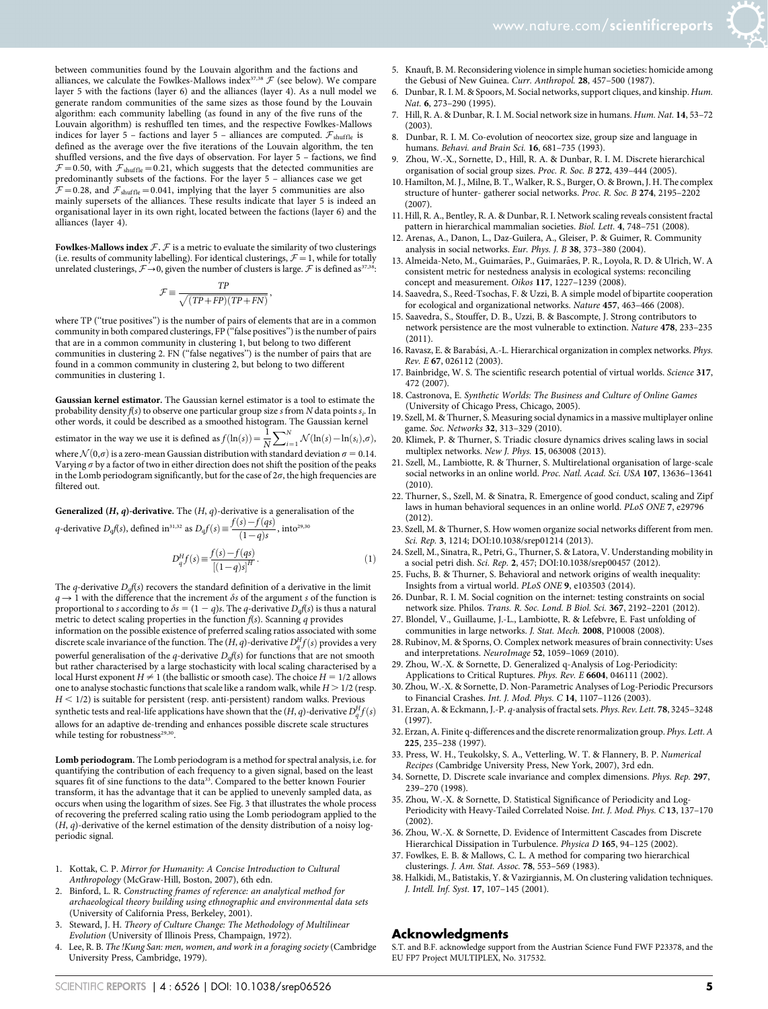

Fowlkes-Mallows index  $\mathcal{F}$ .  $\mathcal{F}$  is a metric to evaluate the similarity of two clusterings (i.e. results of community labelling). For identical clusterings,  $\mathcal{F}=1$ , while for totally unrelated clusterings,  $\mathcal{F}\rightarrow 0$ , given the number of clusters is large.  $\mathcal F$  is defined as<sup>37,3:</sup>

$$
\mathcal{F}\equiv\frac{TP}{\sqrt{(TP+FP)(TP+FN)}},
$$

where TP ("true positives") is the number of pairs of elements that are in a common community in both compared clusterings, FP (''false positives'') is the number of pairs that are in a common community in clustering 1, but belong to two different communities in clustering 2. FN (''false negatives'') is the number of pairs that are found in a common community in clustering 2, but belong to two different communities in clustering 1.

Gaussian kernel estimator. The Gaussian kernel estimator is a tool to estimate the probability density  $f\!(s)$  to observe one particular group size  $s$  from  $N$  data points  $s_i.$  In other words, it could be described as a smoothed histogram. The Gaussian kernel<br>estimator in the way we use it is defined as  $f(\ln(s)) = \frac{1}{N} \sum_{i=1}^{N} \mathcal{N}(\ln(s) - \ln(s_i), \alpha_i$  $\sum_{i=1}^{N} \mathcal{N}(\ln(s) - \ln(s_i), \sigma),$ where  $\mathcal{N}(0,\sigma)$  is a zero-mean Gaussian distribution with standard deviation  $\sigma = 0.14$ . Varying  $\sigma$  by a factor of two in either direction does not shift the position of the peaks in the Lomb periodogram significantly, but for the case of  $2\sigma$ , the high frequencies are

Generalized  $(H, q)$ -derivative. The  $(H, q)$ -derivative is a generalisation of the

q-derivative  $D_qf(s)$ , defined in<sup>31,32</sup> as  $D_qf(s) \equiv \frac{f(s) - f(qs)}{(1-q)s}$ , into<sup>29,30</sup>

filtered out.

$$
D_q^H f(s) \equiv \frac{f(s) - f(qs)}{[(1-q)s]^H}.
$$
 (1)

The q-derivative  $D_qf(s)$  recovers the standard definition of a derivative in the limit  $q \rightarrow 1$  with the difference that the increment  $\delta s$  of the argument s of the function is proportional to s according to  $\delta s = (1 - q)s$ . The q-derivative  $D_qf(s)$  is thus a natural metric to detect scaling properties in the function  $f(s)$ . Scanning q provides information on the possible existence of preferred scaling ratios associated with some discrete scale invariance of the function. The  $(H, q)$ -derivative  $D_q^Hf(s)$  provides a very powerful generalisation of the q-derivative  $D_qf(s)$  for functions that are not smooth but rather characterised by a large stochasticity with local scaling characterised by a local Hurst exponent  $H \neq 1$  (the ballistic or smooth case). The choice  $H = 1/2$  allows one to analyse stochastic functions that scale like a random walk, while  $H > 1/2$  (resp.  $H$  < 1/2) is suitable for persistent (resp. anti-persistent) random walks. Previous synthetic tests and real-life applications have shown that the  $(H, q)$ -derivative  $D_q^Hf(s)$ allows for an adaptive de-trending and enhances possible discrete scale structures while testing for robustness<sup>29,30</sup>

Lomb periodogram. The Lomb periodogram is a method for spectral analysis, i.e. for quantifying the contribution of each frequency to a given signal, based on the least squares fit of sine functions to the data<sup>33</sup>. Compared to the better known Fourier transform, it has the advantage that it can be applied to unevenly sampled data, as occurs when using the logarithm of sizes. See Fig. 3 that illustrates the whole process of recovering the preferred scaling ratio using the Lomb periodogram applied to the  $(H,\,q)$  -derivative of the kernel estimation of the density distribution of a noisy logperiodic signal.

- 1. Kottak, C. P. Mirror for Humanity: A Concise Introduction to Cultural Anthropology (McGraw-Hill, Boston, 2007), 6th edn.
- 2. Binford, L. R. Constructing frames of reference: an analytical method for archaeological theory building using ethnographic and environmental data sets (University of California Press, Berkeley, 2001).
- 3. Steward, J. H. Theory of Culture Change: The Methodology of Multilinear Evolution (University of Illinois Press, Champaign, 1972).
- Lee, R. B. The !Kung San: men, women, and work in a foraging society (Cambridge University Press, Cambridge, 1979).
- 5. Knauft, B. M. Reconsidering violence in simple human societies: homicide among the Gebusi of New Guinea. Curr. Anthropol. 28, 457-500 (1987).
- 6. Dunbar, R. I. M. & Spoors, M. Social networks, support cliques, and kinship. Hum. Nat. 6, 273–290 (1995).
- 7. Hill, R. A. & Dunbar, R. I. M. Social network size in humans. Hum. Nat. 14, 53–72 (2003).
- 8. Dunbar, R. I. M. Co-evolution of neocortex size, group size and language in humans. Behavi. and Brain Sci. 16, 681–735 (1993).
- Zhou, W.-X., Sornette, D., Hill, R. A. & Dunbar, R. I. M. Discrete hierarchical organisation of social group sizes. Proc. R. Soc. B 272, 439–444 (2005).
- 10. Hamilton, M. J., Milne, B. T., Walker, R. S., Burger, O. & Brown, J. H. The complex structure of hunter- gatherer social networks. Proc. R. Soc. B 274, 2195–2202  $(2007)$
- 11. Hill, R. A., Bentley, R. A. & Dunbar, R. I. Network scaling reveals consistent fractal pattern in hierarchical mammalian societies. Biol. Lett. 4, 748-751 (2008).
- 12. Arenas, A., Danon, L., Daz-Guilera, A., Gleiser, P. & Guimer, R. Community analysis in social networks. Eur. Phys. J. B 38, 373–380 (2004).
- 13. Almeida-Neto, M., Guimarães, P., Guimarães, P. R., Loyola, R. D. & Ulrich, W. A consistent metric for nestedness analysis in ecological systems: reconciling concept and measurement. Oikos 117, 1227–1239 (2008).
- 14. Saavedra, S., Reed-Tsochas, F. & Uzzi, B. A simple model of bipartite cooperation for ecological and organizational networks. Nature 457, 463–466 (2008).
- 15. Saavedra, S., Stouffer, D. B., Uzzi, B. & Bascompte, J. Strong contributors to network persistence are the most vulnerable to extinction. Nature 478, 233–235 (2011).
- 16. Ravasz, E. & Barabási, A.-L. Hierarchical organization in complex networks. Phys. Rev. E 67, 026112 (2003).
- 17. Bainbridge, W. S. The scientific research potential of virtual worlds. Science 317, 472 (2007).
- 18. Castronova, E. Synthetic Worlds: The Business and Culture of Online Games (University of Chicago Press, Chicago, 2005).
- 19. Szell, M. & Thurner, S. Measuring social dynamics in a massive multiplayer online game. Soc. Networks 32, 313–329 (2010).
- 20. Klimek, P. & Thurner, S. Triadic closure dynamics drives scaling laws in social multiplex networks. New J. Phys. 15, 063008 (2013).
- 21. Szell, M., Lambiotte, R. & Thurner, S. Multirelational organisation of large-scale social networks in an online world. Proc. Natl. Acad. Sci. USA 107, 13636–13641 (2010).
- 22. Thurner, S., Szell, M. & Sinatra, R. Emergence of good conduct, scaling and Zipf laws in human behavioral sequences in an online world. PLoS ONE 7, e29796 (2012).
- 23. Szell, M. & Thurner, S. How women organize social networks different from men. Sci. Rep. 3, 1214; DOI:10.1038/srep01214 (2013).
- 24. Szell, M., Sinatra, R., Petri, G., Thurner, S. & Latora, V. Understanding mobility in a social petri dish. Sci. Rep. 2, 457; DOI:10.1038/srep00457 (2012).
- 25. Fuchs, B. & Thurner, S. Behavioral and network origins of wealth inequality: Insights from a virtual world. PLoS ONE 9, e103503 (2014).
- 26. Dunbar, R. I. M. Social cognition on the internet: testing constraints on social network size. Philos. Trans. R. Soc. Lond. B Biol. Sci. 367, 2192–2201 (2012).
- 27. Blondel, V., Guillaume, J.-L., Lambiotte, R. & Lefebvre, E. Fast unfolding of communities in large networks. J. Stat. Mech. 2008, P10008 (2008).
- 28. Rubinov, M. & Sporns, O. Complex network measures of brain connectivity: Uses and interpretations. NeuroImage 52, 1059–1069 (2010).
- 29. Zhou, W.-X. & Sornette, D. Generalized q-Analysis of Log-Periodicity: Applications to Critical Ruptures. Phys. Rev. E 6604, 046111 (2002).
- 30. Zhou, W.-X. & Sornette, D. Non-Parametric Analyses of Log-Periodic Precursors to Financial Crashes. Int. J. Mod. Phys. C 14, 1107–1126 (2003).
- 31. Erzan, A. & Eckmann, J.-P. q-analysis of fractal sets. Phys. Rev. Lett. 78, 3245–3248 (1997).
- 32. Erzan, A. Finite q-differences and the discrete renormalization group. Phys. Lett. A 225, 235–238 (1997).
- 33. Press, W. H., Teukolsky, S. A., Vetterling, W. T. & Flannery, B. P. Numerical Recipes (Cambridge University Press, New York, 2007), 3rd edn.
- 34. Sornette, D. Discrete scale invariance and complex dimensions. Phys. Rep. 297, 239–270 (1998).
- 35. Zhou, W.-X. & Sornette, D. Statistical Significance of Periodicity and Log-Periodicity with Heavy-Tailed Correlated Noise. Int. J. Mod. Phys. C 13, 137–170 (2002).
- 36. Zhou, W.-X. & Sornette, D. Evidence of Intermittent Cascades from Discrete Hierarchical Dissipation in Turbulence. Physica D 165, 94–125 (2002).
- 37. Fowlkes, E. B. & Mallows, C. L. A method for comparing two hierarchical clusterings. J. Am. Stat. Assoc. 78, 553–569 (1983).
- 38. Halkidi, M., Batistakis, Y. & Vazirgiannis, M. On clustering validation techniques. J. Intell. Inf. Syst. 17, 107–145 (2001).

#### Acknowledgments

S.T. and B.F. acknowledge support from the Austrian Science Fund FWF P23378, and the EU FP7 Project MULTIPLEX, No. 317532.